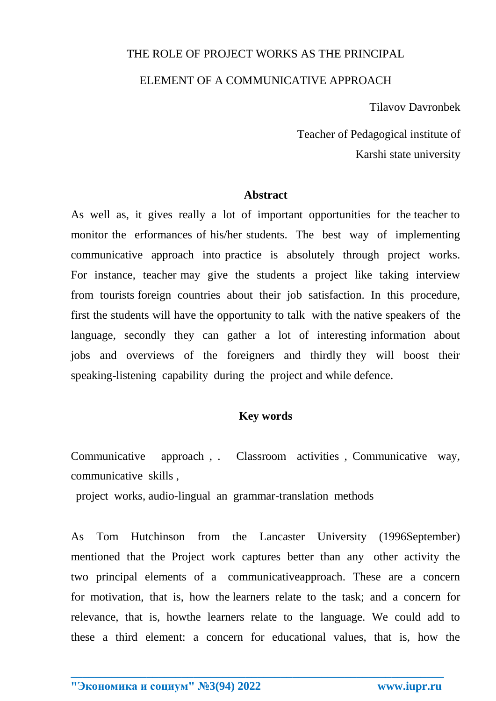# THE ROLE OF PROJECT WORKS AS THE PRINCIPAL

## ELEMENT OF A COMMUNICATIVE APPROACH

Tilavov Davronbek

 Teacher of Pedagogical institute of Karshi state university

#### **Abstract**

As well as, it gives really a lot of important opportunities for the teacher to monitor the erformances of his/her students. The best way of implementing communicative approach into practice is absolutely through project works. For instance, teacher may give the students a project like taking interview from tourists foreign countries about their job satisfaction. In this procedure, first the students will have the opportunity to talk with the native speakers of the language, secondly they can gather a lot of interesting information about jobs and overviews of the foreigners and thirdly they will boost their speaking-listening capability during the project and while defence.

## **Key words**

Communicative approach , . Classroom activities , Communicative way, communicative skills ,

project works, audio-lingual an grammar-translation methods

As Tom Hutchinson from the Lancaster University (1996September) mentioned that the Project work captures better than any other activity the two principal elements of a communicativeapproach. These are a concern for motivation, that is, how the learners relate to the task; and a concern for relevance, that is, howthe learners relate to the language. We could add to these a third element: a concern for educational values, that is, how the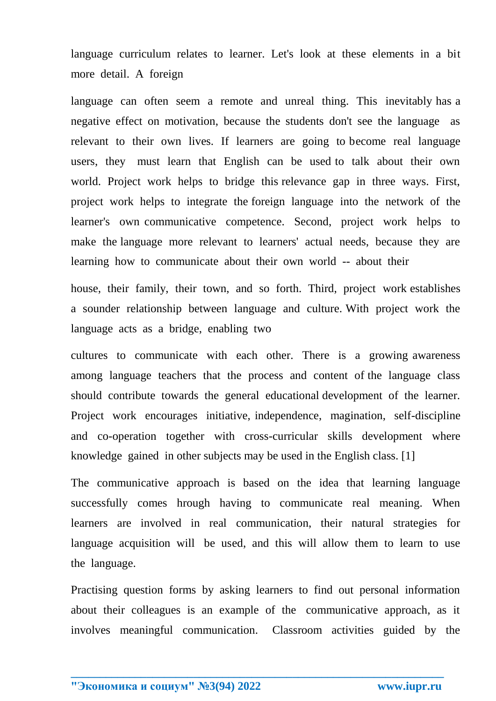language curriculum relates to learner. Let's look at these elements in a bit more detail. A foreign

language can often seem a remote and unreal thing. This inevitably has a negative effect on motivation, because the students don't see the language as relevant to their own lives. If learners are going to become real language users, they must learn that English can be used to talk about their own world. Project work helps to bridge this relevance gap in three ways. First, project work helps to integrate the foreign language into the network of the learner's own communicative competence. Second, project work helps to make the language more relevant to learners' actual needs, because they are learning how to communicate about their own world -- about their

house, their family, their town, and so forth. Third, project work establishes a sounder relationship between language and culture. With project work the language acts as a bridge, enabling two

cultures to communicate with each other. There is a growing awareness among language teachers that the process and content of the language class should contribute towards the general educational development of the learner. Project work encourages initiative, independence, magination, self-discipline and co-operation together with cross-curricular skills development where knowledge gained in other subjects may be used in the English class. [1]

The communicative approach is based on the idea that learning language successfully comes hrough having to communicate real meaning. When learners are involved in real communication, their natural strategies for language acquisition will be used, and this will allow them to learn to use the language.

Practising question forms by asking learners to find out personal information about their colleagues is an example of the communicative approach, as it involves meaningful communication. Classroom activities guided by the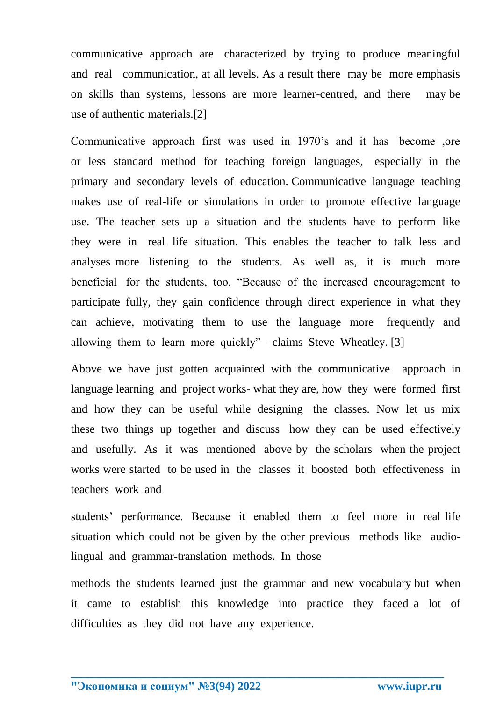communicative approach are characterized by trying to produce meaningful and real communication, at all levels. As a result there may be more emphasis on skills than systems, lessons are more learner-centred, and there may be use of authentic materials.[2]

Communicative approach first was used in 1970's and it has become ,ore or less standard method for teaching foreign languages, especially in the primary and secondary levels of education. Communicative language teaching makes use of real-life or simulations in order to promote effective language use. The teacher sets up a situation and the students have to perform like they were in real life situation. This enables the teacher to talk less and analyses more listening to the students. As well as, it is much more beneficial for the students, too. "Because of the increased encouragement to participate fully, they gain confidence through direct experience in what they can achieve, motivating them to use the language more frequently and allowing them to learn more quickly" –claims Steve Wheatley. [3]

Above we have just gotten acquainted with the communicative approach in language learning and project works- what they are, how they were formed first and how they can be useful while designing the classes. Now let us mix these two things up together and discuss how they can be used effectively and usefully. As it was mentioned above by the scholars when the project works were started to be used in the classes it boosted both effectiveness in teachers work and

students' performance. Because it enabled them to feel more in real life situation which could not be given by the other previous methods like audiolingual and grammar-translation methods. In those

methods the students learned just the grammar and new vocabulary but when it came to establish this knowledge into practice they faced a lot of difficulties as they did not have any experience.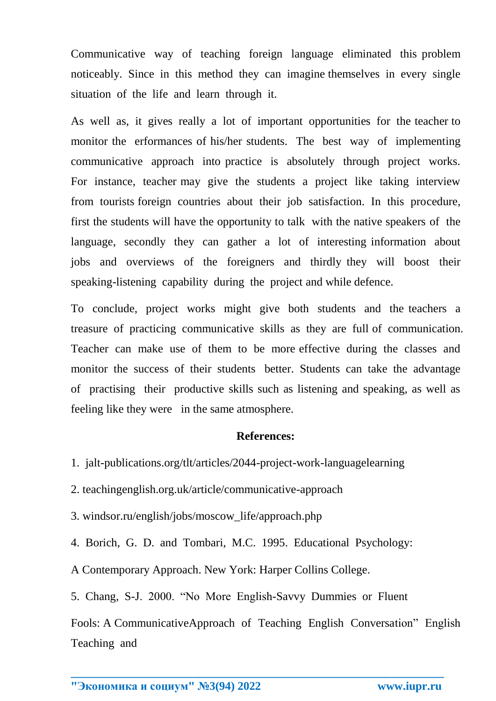Communicative way of teaching foreign language eliminated this problem noticeably. Since in this method they can imagine themselves in every single situation of the life and learn through it.

As well as, it gives really a lot of important opportunities for the teacher to monitor the erformances of his/her students. The best way of implementing communicative approach into practice is absolutely through project works. For instance, teacher may give the students a project like taking interview from tourists foreign countries about their job satisfaction. In this procedure, first the students will have the opportunity to talk with the native speakers of the language, secondly they can gather a lot of interesting information about jobs and overviews of the foreigners and thirdly they will boost their speaking-listening capability during the project and while defence.

To conclude, project works might give both students and the teachers a treasure of practicing communicative skills as they are full of communication. Teacher can make use of them to be more effective during the classes and monitor the success of their students better. Students can take the advantage of practising their productive skills such as listening and speaking, as well as feeling like they were in the same atmosphere.

## **References:**

1. jalt-publications.org/tlt/articles/2044-project-work-languagelearning

2. teachingenglish.org.uk/article/communicative-approach

3. windsor.ru/english/jobs/moscow\_life/approach.php

4. Borich, G. D. and Tombari, M.C. 1995. Educational Psychology:

A Contemporary Approach. New York: Harper Collins College.

5. Chang, S-J. 2000. "No More English-Savvy Dummies or Fluent

Fools: A CommunicativeApproach of Teaching English Conversation" English Teaching and